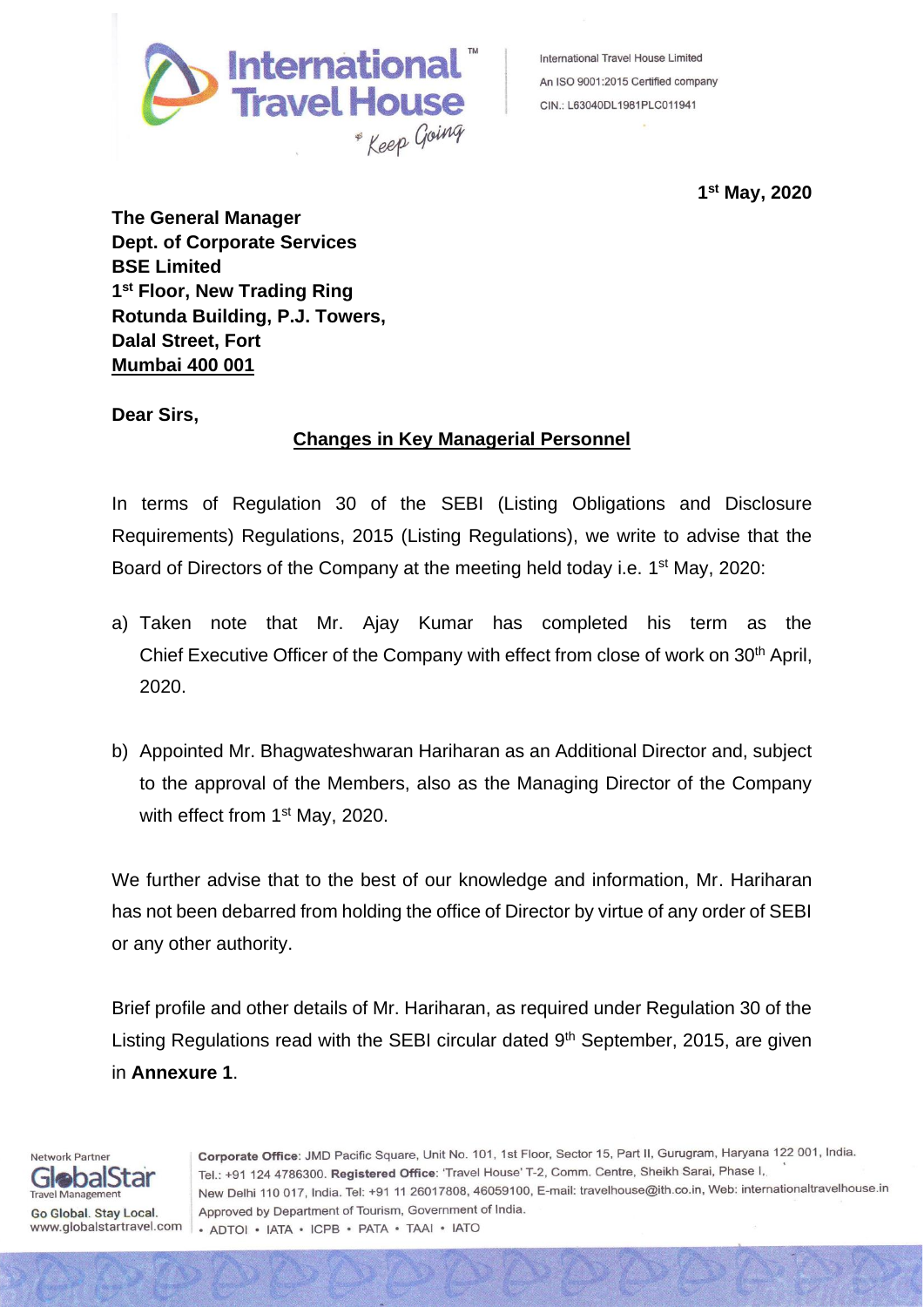

International Travel House Limited An ISO 9001:2015 Certified company CIN.: L63040DL1981PLC011941

**1 st May, 2020**

**The General Manager Dept. of Corporate Services BSE Limited 1 st Floor, New Trading Ring Rotunda Building, P.J. Towers, Dalal Street, Fort Mumbai 400 001**

**Dear Sirs,**

## **Changes in Key Managerial Personnel**

In terms of Regulation 30 of the SEBI (Listing Obligations and Disclosure Requirements) Regulations, 2015 (Listing Regulations), we write to advise that the Board of Directors of the Company at the meeting held today i.e. 1<sup>st</sup> May, 2020:

- a) Taken note that Mr. Ajay Kumar has completed his term as the Chief Executive Officer of the Company with effect from close of work on 30<sup>th</sup> April, 2020.
- b) Appointed Mr. Bhagwateshwaran Hariharan as an Additional Director and, subject to the approval of the Members, also as the Managing Director of the Company with effect from 1<sup>st</sup> May, 2020.

We further advise that to the best of our knowledge and information, Mr. Hariharan has not been debarred from holding the office of Director by virtue of any order of SEBI or any other authority.

Brief profile and other details of Mr. Hariharan, as required under Regulation 30 of the Listing Regulations read with the SEBI circular dated 9<sup>th</sup> September, 2015, are given in **Annexure 1**.

Corporate Office: JMD Pacific Square, Unit No. 101, 1st Floor, Sector 15, Part II, Gurugram, Haryana 122 001, India. Tel.: +91 124 4786300. Registered Office: 'Travel House' T-2, Comm. Centre, Sheikh Sarai, Phase I, New Delhi 110 017, India. Tel: +91 11 26017808, 46059100, E-mail: travelhouse@ith.co.in, Web: internationaltravelhouse.in Approved by Department of Tourism, Government of India. · ADTOI · IATA · ICPB · PATA · TAAI · IATO

GlobalStar **Travel Management** Go Global. Stay Local. www.globalstartravel.com

Network Partner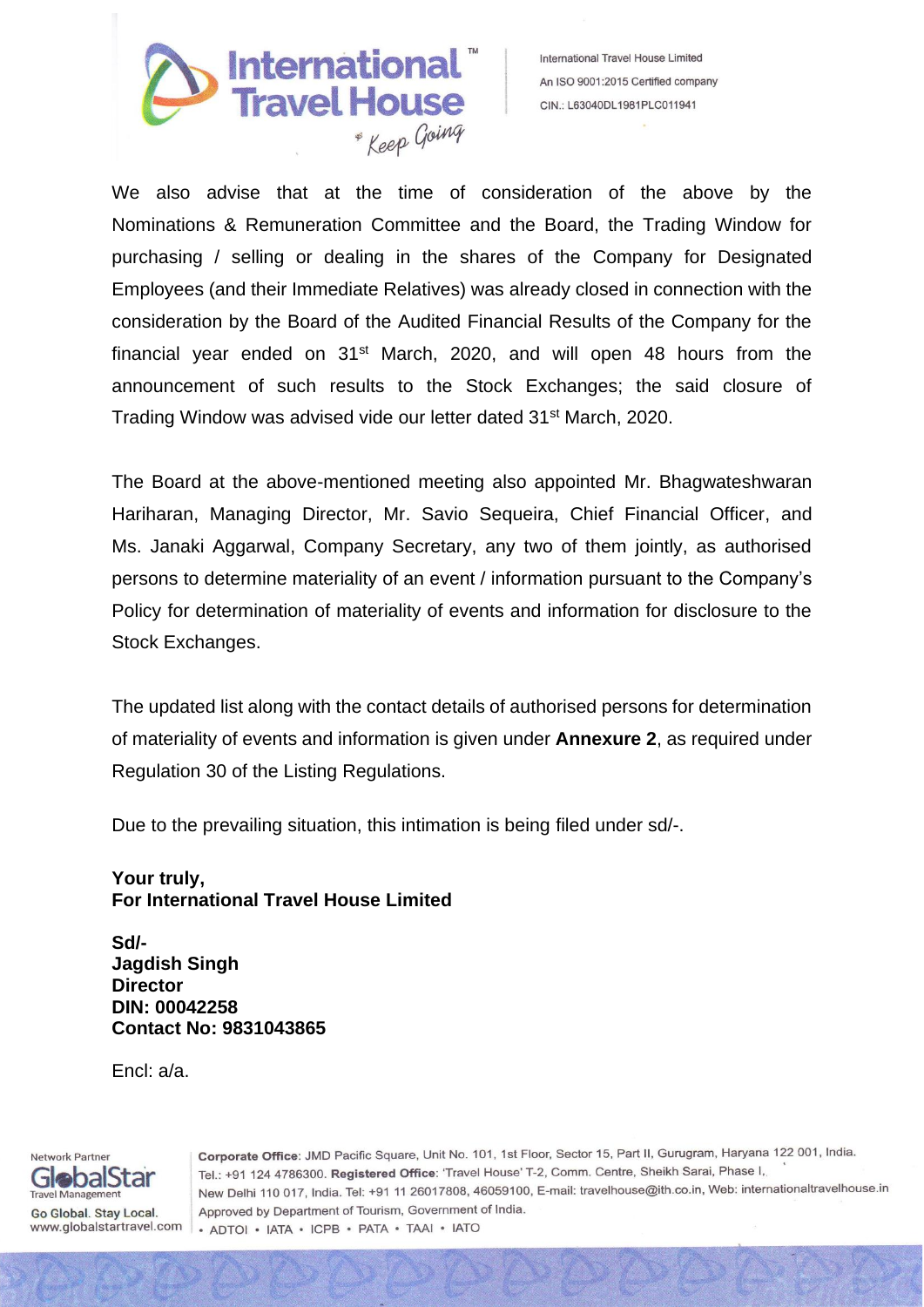

International Travel House Limited An ISO 9001:2015 Certified company CIN.: L63040DL1981PLC011941

We also advise that at the time of consideration of the above by the Nominations & Remuneration Committee and the Board, the Trading Window for purchasing / selling or dealing in the shares of the Company for Designated Employees (and their Immediate Relatives) was already closed in connection with the consideration by the Board of the Audited Financial Results of the Company for the financial year ended on 31st March, 2020, and will open 48 hours from the announcement of such results to the Stock Exchanges; the said closure of Trading Window was advised vide our letter dated 31<sup>st</sup> March, 2020.

The Board at the above-mentioned meeting also appointed Mr. Bhagwateshwaran Hariharan, Managing Director, Mr. Savio Sequeira, Chief Financial Officer, and Ms. Janaki Aggarwal, Company Secretary, any two of them jointly, as authorised persons to determine materiality of an event / information pursuant to the Company's Policy for determination of materiality of events and information for disclosure to the Stock Exchanges.

The updated list along with the contact details of authorised persons for determination of materiality of events and information is given under **Annexure 2**, as required under Regulation 30 of the Listing Regulations.

Due to the prevailing situation, this intimation is being filed under sd/-.

## **Your truly, For International Travel House Limited**

**Sd/- Jagdish Singh Director DIN: 00042258 Contact No: 9831043865**

Encl: a/a.

Network Partner GlobalStar **Travel Management** Go Global. Stay Local. www.globalstartravel.com Corporate Office: JMD Pacific Square, Unit No. 101, 1st Floor, Sector 15, Part II, Gurugram, Haryana 122 001, India. Tel.: +91 124 4786300. Registered Office: 'Travel House' T-2, Comm. Centre, Sheikh Sarai, Phase I, New Delhi 110 017, India. Tel: +91 11 26017808, 46059100, E-mail: travelhouse@ith.co.in, Web: internationaltravelhouse.in Approved by Department of Tourism, Government of India. · ADTOI · IATA · ICPB · PATA · TAAI · IATO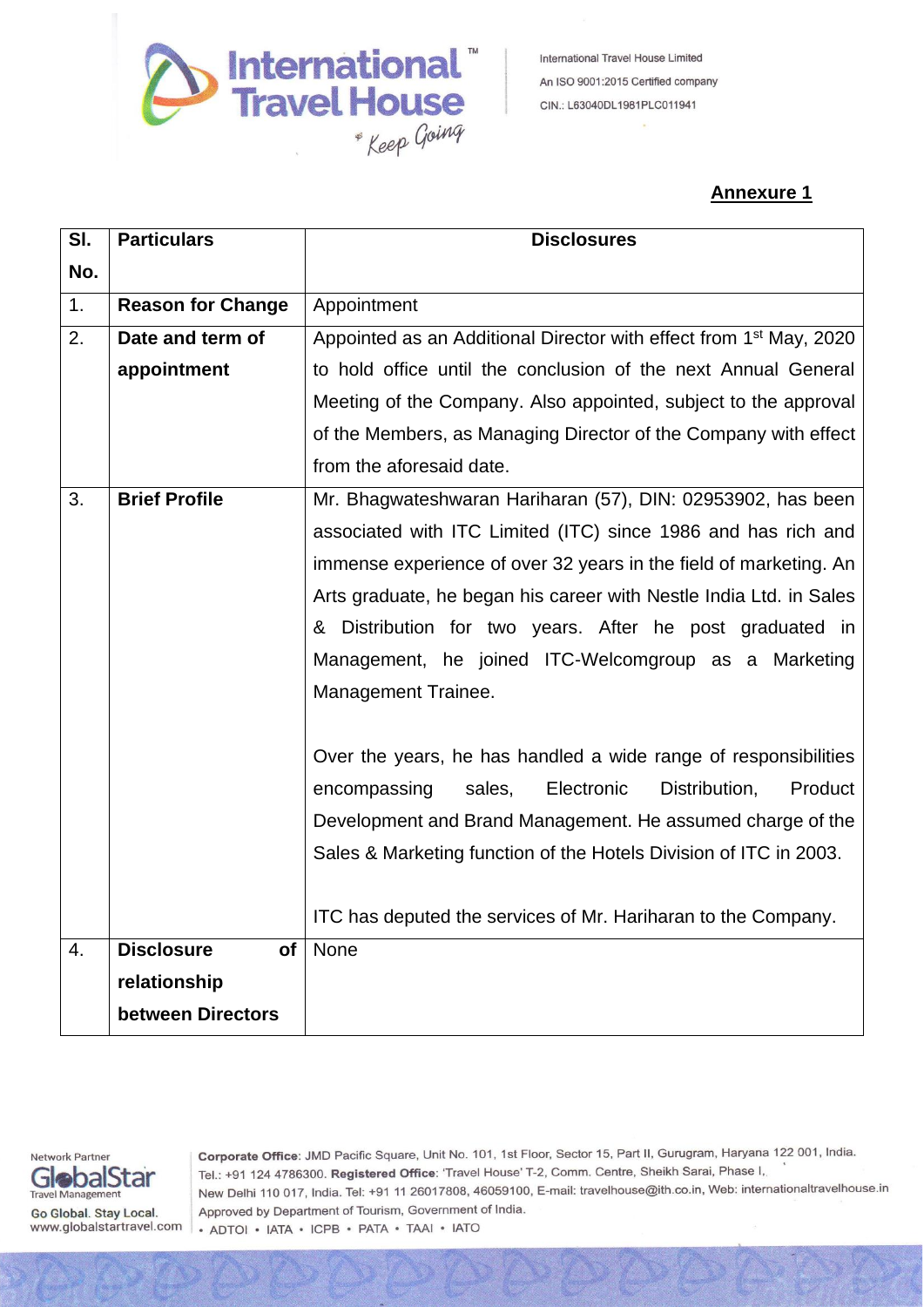

## **Annexure 1**

| SI. | <b>Particulars</b>                   | <b>Disclosures</b>                                                             |  |  |
|-----|--------------------------------------|--------------------------------------------------------------------------------|--|--|
| No. |                                      |                                                                                |  |  |
| 1.  | <b>Reason for Change</b>             | Appointment                                                                    |  |  |
| 2.  | Date and term of                     | Appointed as an Additional Director with effect from 1 <sup>st</sup> May, 2020 |  |  |
|     | appointment                          | to hold office until the conclusion of the next Annual General                 |  |  |
|     |                                      | Meeting of the Company. Also appointed, subject to the approval                |  |  |
|     |                                      | of the Members, as Managing Director of the Company with effect                |  |  |
|     |                                      | from the aforesaid date.                                                       |  |  |
| 3.  | <b>Brief Profile</b>                 | Mr. Bhagwateshwaran Hariharan (57), DIN: 02953902, has been                    |  |  |
|     |                                      | associated with ITC Limited (ITC) since 1986 and has rich and                  |  |  |
|     |                                      | immense experience of over 32 years in the field of marketing. An              |  |  |
|     |                                      | Arts graduate, he began his career with Nestle India Ltd. in Sales             |  |  |
|     |                                      | & Distribution for two years. After he post graduated in                       |  |  |
|     |                                      | Management, he joined ITC-Welcomgroup as a Marketing                           |  |  |
|     |                                      | Management Trainee.                                                            |  |  |
|     |                                      |                                                                                |  |  |
|     |                                      | Over the years, he has handled a wide range of responsibilities                |  |  |
|     |                                      | Electronic<br>Distribution,<br>Product<br>encompassing<br>sales,               |  |  |
|     |                                      | Development and Brand Management. He assumed charge of the                     |  |  |
|     |                                      | Sales & Marketing function of the Hotels Division of ITC in 2003.              |  |  |
|     |                                      |                                                                                |  |  |
|     |                                      | ITC has deputed the services of Mr. Hariharan to the Company.                  |  |  |
| 4.  | <b>Disclosure</b><br>of <sub>l</sub> | None                                                                           |  |  |
|     | relationship                         |                                                                                |  |  |
|     | between Directors                    |                                                                                |  |  |



Corporate Office: JMD Pacific Square, Unit No. 101, 1st Floor, Sector 15, Part II, Gurugram, Haryana 122 001, India. Tel.: +91 124 4786300. Registered Office: 'Travel House' T-2, Comm. Centre, Sheikh Sarai, Phase I, New Delhi 110 017, India. Tel: +91 11 26017808, 46059100, E-mail: travelhouse@ith.co.in, Web: internationaltravelhouse.in Approved by Department of Tourism, Government of India. · ADTOI · IATA · ICPB · PATA · TAAI · IATO